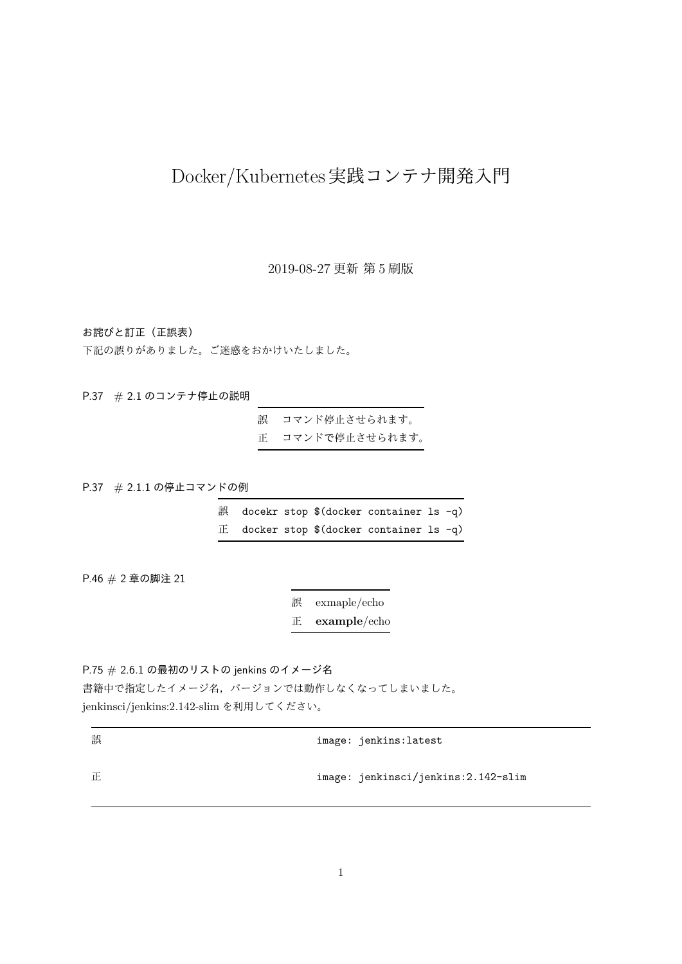# Docker/Kubernetes実践コンテナ開発入門

2019-08-27 更新 第 5 刷版

お詫びと訂正(正誤表)

下記の誤りがありました。ご迷惑をおかけいたしました。

P.37 # 2.1 のコンテナ停止の説明

誤 コマンド停止させられます。 正 コマンドで停止させられます。

P.37 # 2.1.1 の停止コマンドの例

誤 docekr stop \$(docker container ls -q)  $E$  docker stop \$(docker container ls -q)

P.46 # 2 章の脚注 21

誤 exmaple/echo 正 **example**/echo

P.75 # 2.6.1 の最初のリストの jenkins のイメージ名 書籍中で指定したイメージ名,バージョンでは動作しなくなってしまいました。 jenkinsci/jenkins:2.142-slim を利用してください。

| 誤 | image: jenkins:latest               |  |
|---|-------------------------------------|--|
| 正 | image: jenkinsci/jenkins:2.142-slim |  |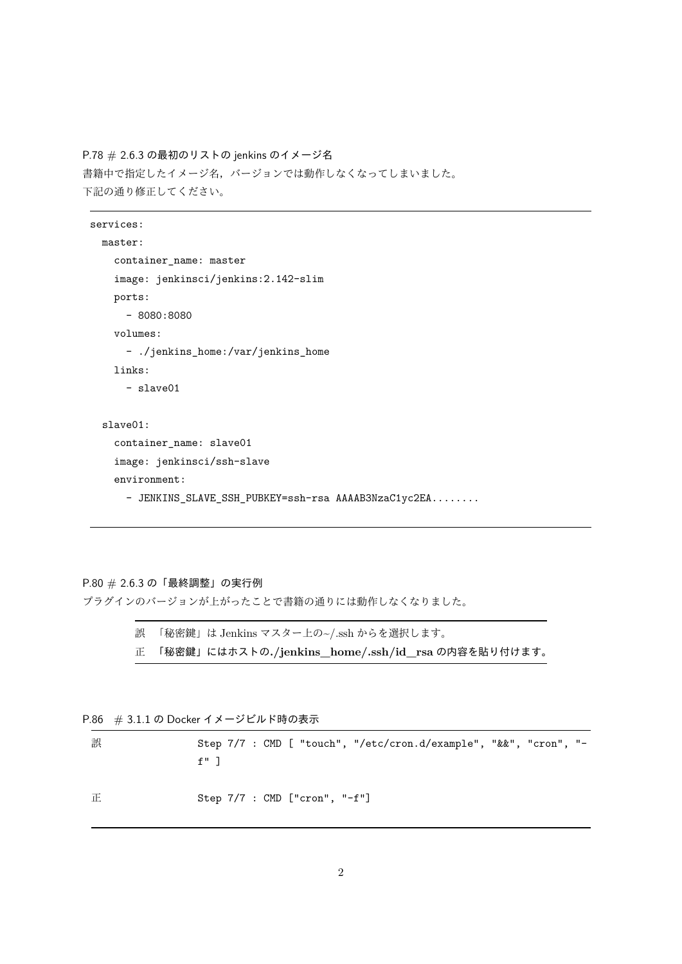P.78 # 2.6.3 の最初のリストの jenkins のイメージ名 書籍中で指定したイメージ名,バージョンでは動作しなくなってしまいました。 下記の通り修正してください。

```
services:
 master:
    container_name: master
    image: jenkinsci/jenkins:2.142-slim
    ports:
      - 8080:8080
    volumes:
      - ./jenkins_home:/var/jenkins_home
   links:
      - slave01
  slave01:
    container_name: slave01
    image: jenkinsci/ssh-slave
    environment:
      - JENKINS_SLAVE_SSH_PUBKEY=ssh-rsa AAAAB3NzaC1yc2EA........
```
## P.80 # 2.6.3 の「最終調整」の実行例

プラグインのバージョンが上がったことで書籍の通りには動作しなくなりました。

誤 「秘密鍵」は Jenkins マスター上の~/.ssh からを選択します。 正 「秘密鍵」にはホストの**./jenkins\_home/.ssh/id\_rsa** の内容を貼り付けます。

P.86 # 3.1.1 の Docker イメージビルド時の表示

誤 Step 7/7 : CMD [ "touch", "/etc/cron.d/example", "&&", "cron", " $f''$ ] 正 Step 7/7 : CMD ["cron", "-f"]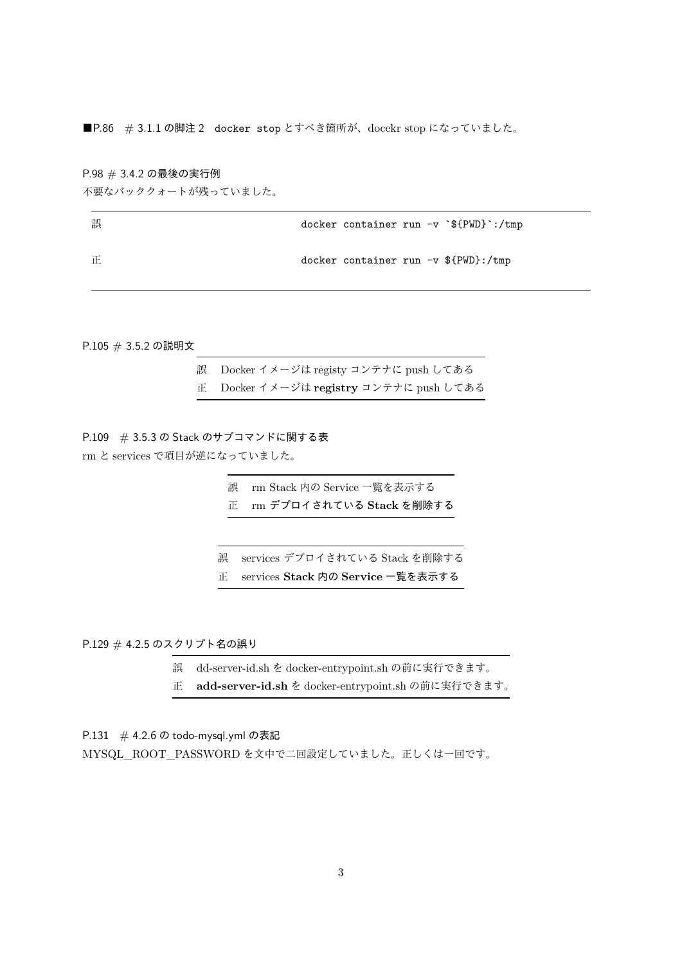■P.86 # 3.1.1 の脚注 2 docker stop とすべき箇所が、docekr stop になっていました。

### P.98 # 3.4.2 の最後の実行例

不要なバッククォートが残っていました。

| 誤 | docker container run $-v$ $\mathcal{F}$ [PWD} :/tmp |
|---|-----------------------------------------------------|
| 正 | docker container run $-v$ \${PWD}:/tmp              |

P.105 # 3.5.2 の説明文

| 誤 Docker イメージは registy コンテナに push してある  |
|-----------------------------------------|
| 正 Docker イメージは registry コンテナに push してある |

P.109 # 3.5.3 の Stack のサブコマンドに関する表 rm と services で項目が逆になっていました。

> 誤 rm Stack 内の Service 一覧を表示する 正 rm デプロイされている **Stack** を削除する

- 誤 services デプロイされている Stack を削除する
- 正 services **Stack** 内の **Service** 一覧を表示する

P.129 # 4.2.5 のスクリプト名の誤り

- 誤 dd-server-id.sh を docker-entrypoint.sh の前に実行できます。
- 正 **add-server-id.sh** を docker-entrypoint.sh の前に実行できます。

P.131 # 4.2.6 の todo-mysql.yml の表記

MYSQL\_ROOT\_PASSWORD を文中で二回設定していました。正しくは一回です。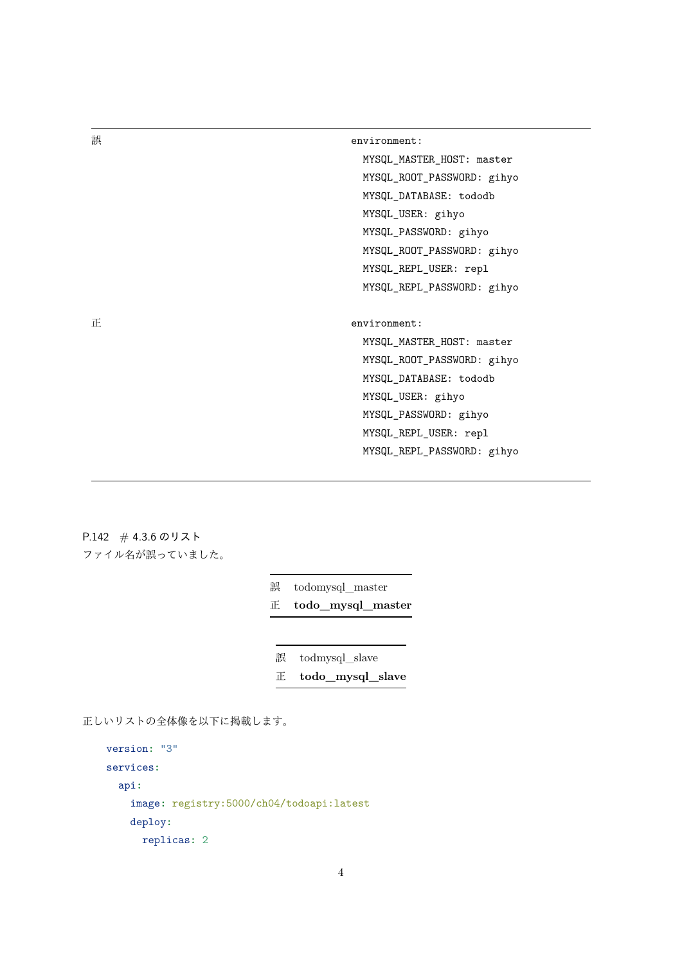誤 environment:

MYSQL\_MASTER\_HOST: master MYSQL\_ROOT\_PASSWORD: gihyo MYSQL\_DATABASE: tododb MYSQL\_USER: gihyo MYSQL\_PASSWORD: gihyo MYSQL\_ROOT\_PASSWORD: gihyo MYSQL\_REPL\_USER: repl MYSQL\_REPL\_PASSWORD: gihyo

正 environment:

MYSQL\_MASTER\_HOST: master MYSQL\_ROOT\_PASSWORD: gihyo MYSQL\_DATABASE: tododb MYSQL\_USER: gihyo MYSQL\_PASSWORD: gihyo MYSQL\_REPL\_USER: repl MYSQL\_REPL\_PASSWORD: gihyo

P.142 # 4.3.6 のリスト ファイル名が誤っていました。

誤 todomysql master

正 **todo\_mysql\_master**

誤 todmysql\_slave

正 **todo\_mysql\_slave**

正しいリストの全体像を以下に掲載します。

```
version: "3"
services:
 api:
    image: registry:5000/ch04/todoapi:latest
    deploy:
      replicas: 2
```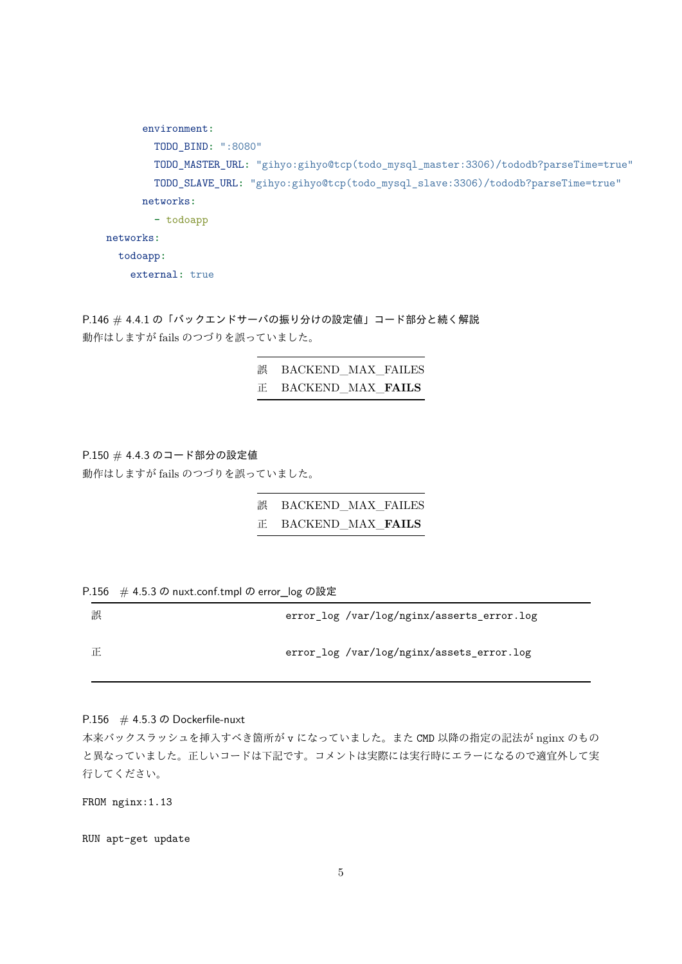```
environment:
       TODO_BIND: ":8080"
       TODO_MASTER_URL: "gihyo:gihyo@tcp(todo_mysql_master:3306)/tododb?parseTime=true"
       TODO_SLAVE_URL: "gihyo:gihyo@tcp(todo_mysql_slave:3306)/tododb?parseTime=true"
      networks:
       - todoapp
networks:
  todoapp:
    external: true
```
P.146 # 4.4.1 の「バックエンドサーバの振り分けの設定値」コード部分と続く解説 動作はしますが fails のつづりを誤っていました。

# 誤 BACKEND MAX FAILES 正 BACKEND\_MAX\_**FAILS**

P.150 # 4.4.3 のコード部分の設定値 動作はしますが fails のつづりを誤っていました。

| 誤    BACKEND   MAX   FAILES |  |
|-----------------------------|--|
| <b>IE BACKEND MAX FAILS</b> |  |

|  |  | P.156 # 4.5.3 の nuxt.conf.tmpl の error_log の設定 |  |
|--|--|------------------------------------------------|--|
|--|--|------------------------------------------------|--|

| 誤 | error_log /var/log/nginx/asserts_error.log |
|---|--------------------------------------------|
| 正 | error_log /var/log/nginx/assets_error.log  |

P.156  $\#$  4.5.3  $\oslash$  Dockerfile-nuxt

本来バックスラッシュを挿入すべき箇所が v になっていました。また CMD 以降の指定の記法が nginx のもの と異なっていました。正しいコードは下記です。コメントは実際には実行時にエラーになるので適宜外して実 行してください。

FROM nginx:1.13

RUN apt-get update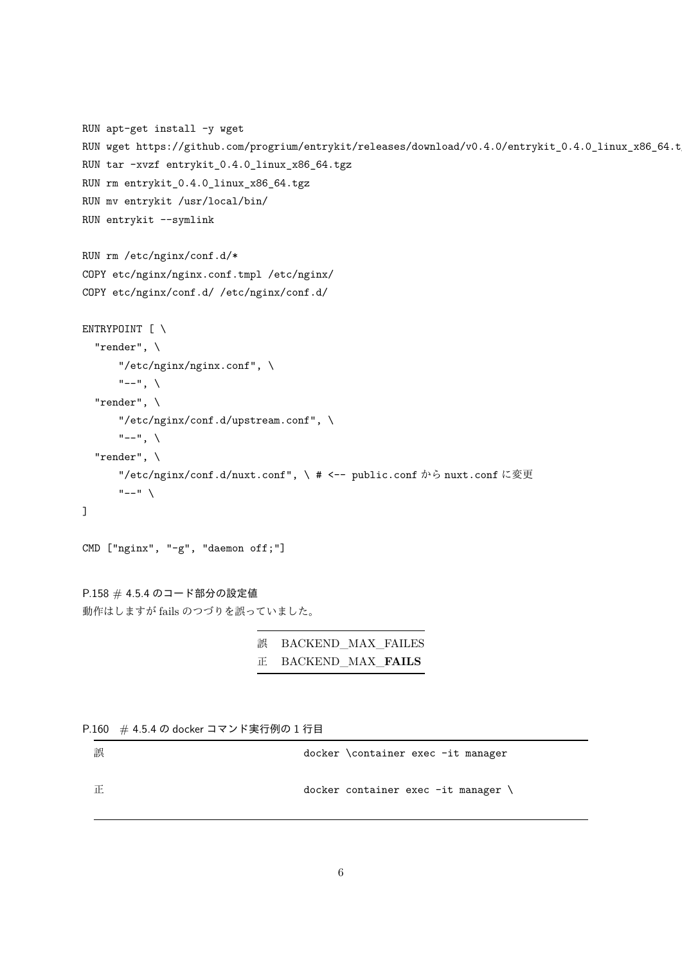```
RUN apt-get install -y wget
RUN wget https://github.com/progrium/entrykit/releases/download/v0.4.0/entrykit_0.4.0_linux_x86_64.tgz
RUN tar -xvzf entrykit_0.4.0_linux_x86_64.tgz
RUN rm entrykit_0.4.0_linux_x86_64.tgz
RUN mv entrykit /usr/local/bin/
RUN entrykit --symlink
RUN rm /etc/nginx/conf.d/*
COPY etc/nginx/nginx.conf.tmpl /etc/nginx/
COPY etc/nginx/conf.d/ /etc/nginx/conf.d/
ENTRYPOINT [ \
  "render", \
      "/etc/nginx/nginx.conf", \
      "--", \setminus"render", \
      "/etc/nginx/conf.d/upstream.conf", \
      "---", \setminus"render", \
      "/etc/nginx/conf.d/nuxt.conf", \ # <-- public.conf から nuxt.conf に変更
      "---"]
CMD ["nginx", "-g", "daemon off;"]
```

```
誤 BACKEND_MAX_FAILES
正 BACKEND_MAX_FAILS
```
P.160 # 4.5.4 の docker コマンド実行例の 1 行目

動作はしますが fails のつづりを誤っていました。

P.158 # 4.5.4 のコード部分の設定値

| 誤 | docker \container exec -it manager               |
|---|--------------------------------------------------|
| 正 | $doker$ container exec $-it$ manager $\setminus$ |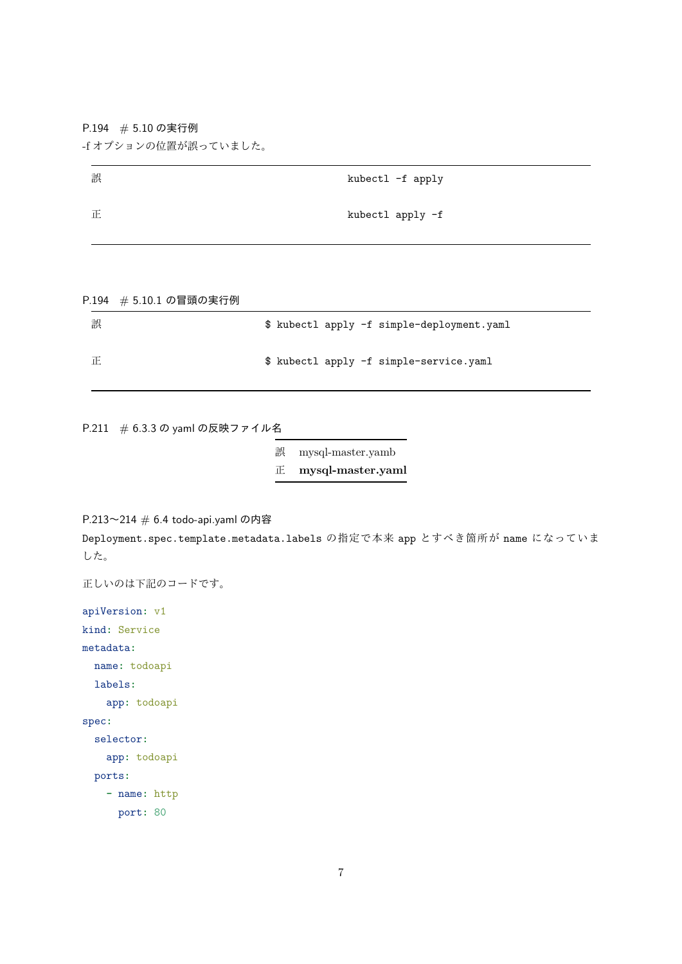P.194 # 5.10 の実行例

-f オプションの位置が誤っていました。

| 誤 | kubectl -f apply |
|---|------------------|
| 正 | kubectl apply -f |

P.194 # 5.10.1 の冒頭の実行例

| 誤 | \$ kubectl apply -f simple-deployment.yaml |
|---|--------------------------------------------|
| 正 | \$ kubectl apply -f simple-service.yaml    |

P.211 # 6.3.3 の yaml の反映ファイル名

誤 mysql-master.yamb

正 **mysql-master.yaml**

P.213〜214 # 6.4 todo-api.yaml の内容

Deployment.spec.template.metadata.labels の指定で本来 app とすべき箇所が name になっていま した。

```
正しいのは下記のコードです。
```

```
apiVersion: v1
kind: Service
metadata:
 name: todoapi
  labels:
   app: todoapi
spec:
  selector:
    app: todoapi
  ports:
    - name: http
     port: 80
```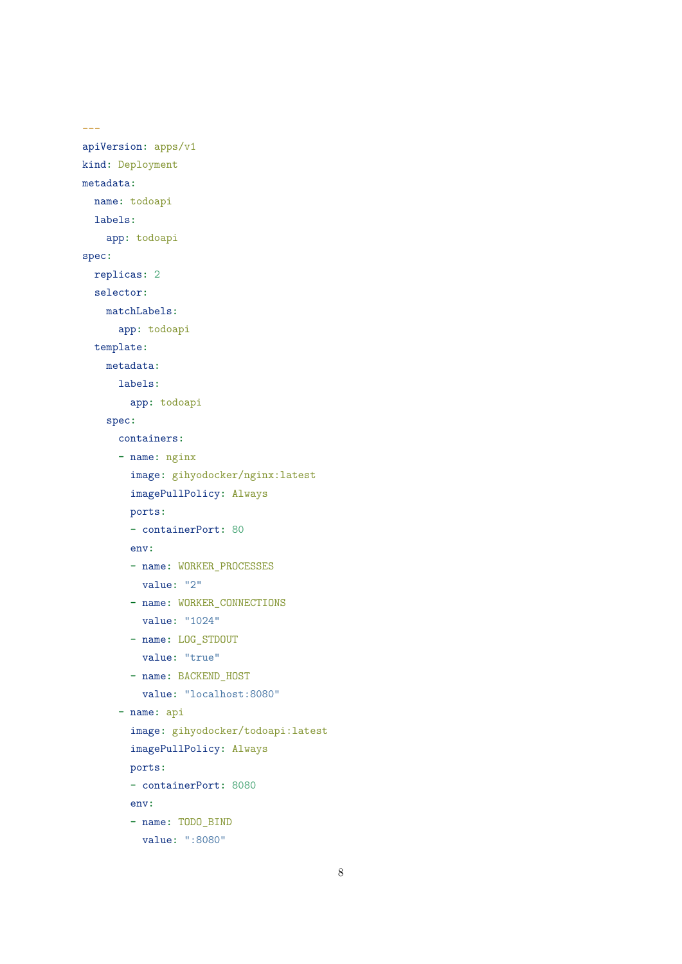```
---
apiVersion: apps/v1
kind: Deployment
metadata:
  name: todoapi
  labels:
    app: todoapi
spec:
  replicas: 2
  selector:
    matchLabels:
      app: todoapi
  template:
    metadata:
      labels:
        app: todoapi
    spec:
      containers:
      - name: nginx
        image: gihyodocker/nginx:latest
        imagePullPolicy: Always
        ports:
        - containerPort: 80
        env:
        - name: WORKER_PROCESSES
          value: "2"
        - name: WORKER_CONNECTIONS
          value: "1024"
        - name: LOG_STDOUT
          value: "true"
        - name: BACKEND_HOST
          value: "localhost:8080"
      - name: api
        image: gihyodocker/todoapi:latest
        imagePullPolicy: Always
        ports:
        - containerPort: 8080
        env:
        - name: TODO_BIND
          value: ":8080"
```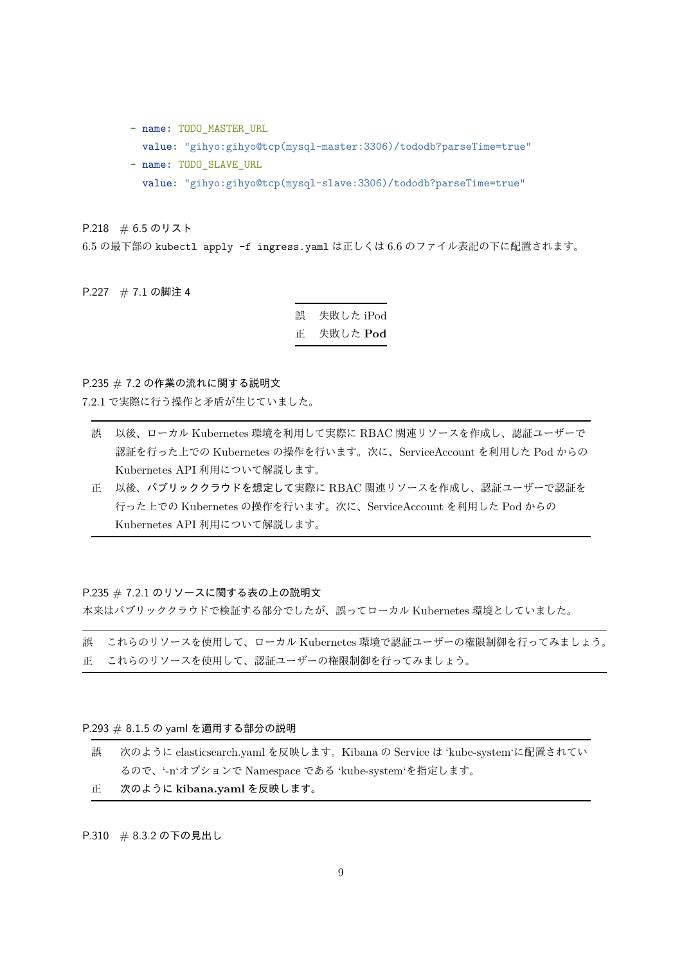- **-** name**:** TODO\_MASTER\_URL
	- value**:** "gihyo:gihyo@tcp(mysql-master:3306)/tododb?parseTime=true"
- **-** name**:** TODO\_SLAVE\_URL value**:** "gihyo:gihyo@tcp(mysql-slave:3306)/tododb?parseTime=true"

P.218 # 6.5 のリスト

6.5 の最下部の kubectl apply -f ingress.yaml は正しくは 6.6 のファイル表記の下に配置されます。

P.227 # 7.1 の脚注 4

誤 失敗した iPod 正 失敗した **Pod**

## P.235 # 7.2 の作業の流れに関する説明文

7.2.1 で実際に行う操作と矛盾が生じていました。

- 誤 以後、ローカル Kubernetes 環境を利用して実際に RBAC 関連リソースを作成し、認証ユーザーで 認証を行った上での Kubernetes の操作を行います。次に、ServiceAccount を利用した Pod からの Kubernetes API 利用について解説します。
- 正 以後、パブリッククラウドを想定して実際に RBAC 関連リソースを作成し、認証ユーザーで認証を 行った上での Kubernetes の操作を行います。次に、ServiceAccount を利用した Pod からの Kubernetes API 利用について解説します。

#### P.235 # 7.2.1 のリソースに関する表の上の説明文

本来はパブリッククラウドで検証する部分でしたが、誤ってローカル Kubernetes 環境としていました。

誤 これらのリソースを使用して、ローカル Kubernetes 環境で認証ユーザーの権限制御を行ってみましょう。 正 これらのリソースを使用して、認証ユーザーの権限制御を行ってみましょう。

P.293 # 8.1.5 の yaml を適用する部分の説明

| 誤  | 次のように elasticsearch.yaml を反映します。Kibana の Service は 'kube-system'に配置されてい |
|----|-------------------------------------------------------------------------|
|    | るので、'-n'オプションで Namespace である 'kube-system'を指定します。                       |
| 止。 | 次のように kibana.yaml を反映します。                                               |

P.310 # 8.3.2 の下の見出し